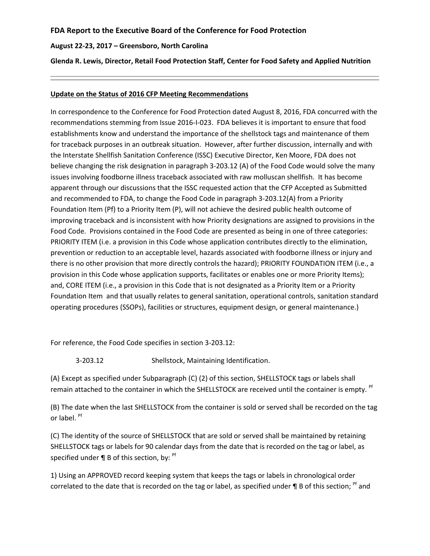## **FDA Report to the Executive Board of the Conference for Food Protection**

### **August 22-23, 2017 – Greensboro, North Carolina**

**Glenda R. Lewis, Director, Retail Food Protection Staff, Center for Food Safety and Applied Nutrition**

#### **Update on the Status of 2016 CFP Meeting Recommendations**

In correspondence to the Conference for Food Protection dated August 8, 2016, FDA concurred with the recommendations stemming from Issue 2016-I-023. FDA believes it is important to ensure that food establishments know and understand the importance of the shellstock tags and maintenance of them for traceback purposes in an outbreak situation. However, after further discussion, internally and with the Interstate Shellfish Sanitation Conference (ISSC) Executive Director, Ken Moore, FDA does not believe changing the risk designation in paragraph 3-203.12 (A) of the Food Code would solve the many issues involving foodborne illness traceback associated with raw molluscan shellfish. It has become apparent through our discussions that the ISSC requested action that the CFP Accepted as Submitted and recommended to FDA, to change the Food Code in paragraph 3-203.12(A) from a Priority Foundation Item (Pf) to a Priority Item (P), will not achieve the desired public health outcome of improving traceback and is inconsistent with how Priority designations are assigned to provisions in the Food Code. Provisions contained in the Food Code are presented as being in one of three categories: PRIORITY ITEM (i.e. a provision in this Code whose application contributes directly to the elimination, prevention or reduction to an acceptable level, hazards associated with foodborne illness or injury and there is no other provision that more directly controls the hazard); PRIORITY FOUNDATION ITEM (i.e., a provision in this Code whose application supports, facilitates or enables one or more Priority Items); and, CORE ITEM (i.e., a provision in this Code that is not designated as a Priority Item or a Priority Foundation Item and that usually relates to general sanitation, operational controls, sanitation standard operating procedures (SSOPs), facilities or structures, equipment design, or general maintenance.)

For reference, the Food Code specifies in section 3-203.12:

3-203.12 Shellstock, Maintaining Identification.

(A) Except as specified under Subparagraph (C) (2) of this section, SHELLSTOCK tags or labels shall remain attached to the container in which the SHELLSTOCK are received until the container is empty. <sup>Pf</sup>

(B) The date when the last SHELLSTOCK from the container is sold or served shall be recorded on the tag or label. Pf

(C) The identity of the source of SHELLSTOCK that are sold or served shall be maintained by retaining SHELLSTOCK tags or labels for 90 calendar days from the date that is recorded on the tag or label, as specified under  $\P$  B of this section, by: <sup>Pf</sup>

1) Using an APPROVED record keeping system that keeps the tags or labels in chronological order correlated to the date that is recorded on the tag or label, as specified under  $\P$  B of this section; <sup>Pf</sup> and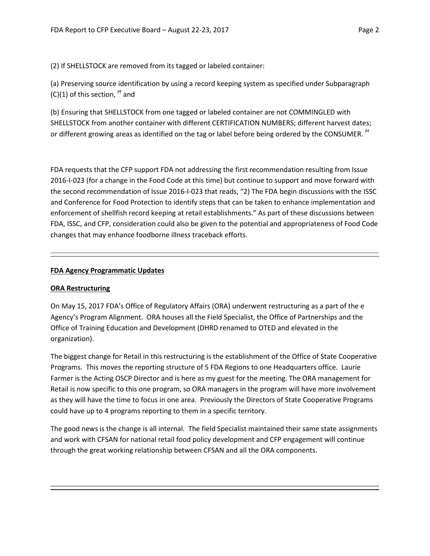(2) If SHELLSTOCK are removed from its tagged or labeled container:

(a) Preserving source identification by using a record keeping system as specified under Subparagraph  $(C)(1)$  of this section, <sup>Pf</sup> and

(b) Ensuring that SHELLSTOCK from one tagged or labeled container are not COMMINGLED with SHELLSTOCK from another container with different CERTIFICATION NUMBERS; different harvest dates; or different growing areas as identified on the tag or label before being ordered by the CONSUMER. <sup>Pf</sup>

FDA requests that the CFP support FDA not addressing the first recommendation resulting from Issue 2016-I-023 (for a change in the Food Code at this time) but continue to support and move forward with the second recommendation of Issue 2016-I-023 that reads, "2) The FDA begin discussions with the ISSC and Conference for Food Protection to identify steps that can be taken to enhance implementation and enforcement of shellfish record keeping at retail establishments." As part of these discussions between FDA, ISSC, and CFP, consideration could also be given to the potential and appropriateness of Food Code changes that may enhance foodborne illness traceback efforts.

### **FDA Agency Programmatic Updates**

## **ORA Restructuring**

On May 15, 2017 FDA's Office of Regulatory Affairs (ORA) underwent restructuring as a part of the e Agency's Program Alignment. ORA houses all the Field Specialist, the Office of Partnerships and the Office of Training Education and Development (DHRD renamed to OTED and elevated in the organization).

The biggest change for Retail in this restructuring is the establishment of the Office of State Cooperative Programs. This moves the reporting structure of 5 FDA Regions to one Headquarters office. Laurie Farmer is the Acting OSCP Director and is here as my guest for the meeting. The ORA management for Retail is now specific to this one program, so ORA managers in the program will have more involvement as they will have the time to focus in one area. Previously the Directors of State Cooperative Programs could have up to 4 programs reporting to them in a specific territory.

The good news is the change is all internal. The field Specialist maintained their same state assignments and work with CFSAN for national retail food policy development and CFP engagement will continue through the great working relationship between CFSAN and all the ORA components.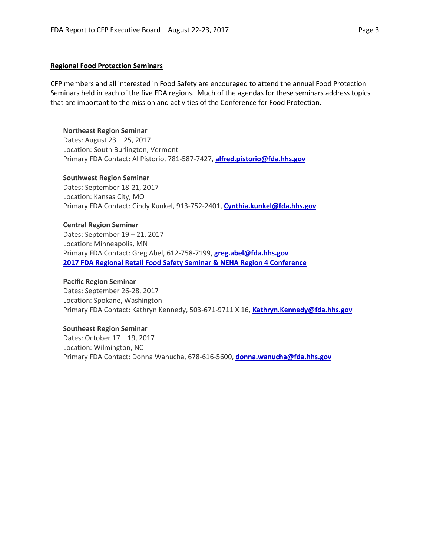#### **Regional Food Protection Seminars**

CFP members and all interested in Food Safety are encouraged to attend the annual Food Protection Seminars held in each of the five FDA regions. Much of the agendas for these seminars address topics that are important to the mission and activities of the Conference for Food Protection.

### **Northeast Region Seminar**

Dates: August 23 – 25, 2017 Location: South Burlington, Vermont Primary FDA Contact: Al Pistorio, 781-587-7427, **[alfred.pistorio@fda.hhs.gov](mailto:alfred.pistorio@fda.hhs.gov)**

#### **Southwest Region Seminar**

Dates: September 18-21, 2017 Location: Kansas City, MO Primary FDA Contact: Cindy Kunkel, 913-752-2401, **[Cynthia.kunkel@fda.hhs.gov](mailto:Cynthia.kunkel@fda.hhs.gov)**

#### **Central Region Seminar**

Dates: September 19 – 21, 2017 Location: Minneapolis, MN Primary FDA Contact: Greg Abel, 612-758-7199, **[greg.abel@fda.hhs.gov](mailto:greg.abel@fda.hhs.gov) [2017 FDA Regional Retail Food Safety Seminar & NEHA Region 4 Conference](https://mehaonline.org/neha-region-4-conferencefda-central-region-retail-food-protection-seminar/)**

#### **Pacific Region Seminar**

Dates: September 26-28, 2017 Location: Spokane, Washington Primary FDA Contact: Kathryn Kennedy, 503-671-9711 X 16, **[Kathryn.Kennedy@fda.hhs.gov](mailto:Kathryn.Kennedy@fda.hhs.gov)**

### **Southeast Region Seminar**

Dates: October 17 – 19, 2017 Location: Wilmington, NC Primary FDA Contact: Donna Wanucha, 678-616-5600, **[donna.wanucha@fda.hhs.gov](mailto:donna.wanucha@fda.hhs.gov)**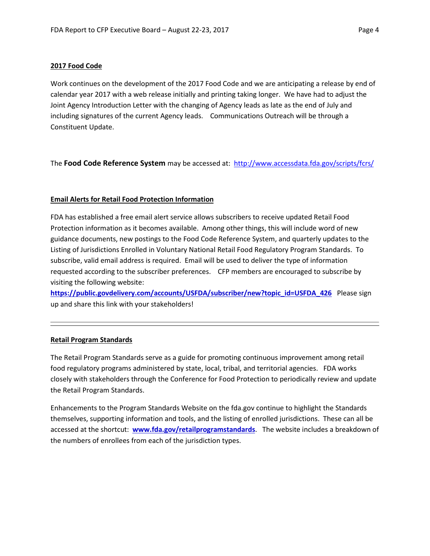### **2017 Food Code**

Work continues on the development of the 2017 Food Code and we are anticipating a release by end of calendar year 2017 with a web release initially and printing taking longer. We have had to adjust the Joint Agency Introduction Letter with the changing of Agency leads as late as the end of July and including signatures of the current Agency leads. Communications Outreach will be through a Constituent Update.

The **Food Code Reference System** may be accessed at: <http://www.accessdata.fda.gov/scripts/fcrs/>

### **Email Alerts for Retail Food Protection Information**

FDA has established a free email alert service allows subscribers to receive updated Retail Food Protection information as it becomes available. Among other things, this will include word of new guidance documents, new postings to the Food Code Reference System, and quarterly updates to the Listing of Jurisdictions Enrolled in Voluntary National Retail Food Regulatory Program Standards. To subscribe, valid email address is required. Email will be used to deliver the type of information requested according to the subscriber preferences. CFP members are encouraged to subscribe by visiting the following website:

**[https://public.govdelivery.com/accounts/USFDA/subscriber/new?topic\\_id=USFDA\\_426](https://public.govdelivery.com/accounts/USFDA/subscriber/new?topic_id=USFDA_426)** Please sign up and share this link with your stakeholders!

## **Retail Program Standards**

The Retail Program Standards serve as a guide for promoting continuous improvement among retail food regulatory programs administered by state, local, tribal, and territorial agencies. FDA works closely with stakeholders through the Conference for Food Protection to periodically review and update the Retail Program Standards.

Enhancements to the Program Standards Website on the fda.gov continue to highlight the Standards themselves, supporting information and tools, and the listing of enrolled jurisdictions. These can all be accessed at the shortcut: **[www.fda.gov/retailprogramstandards](http://www.fda.gov/retailprogramstandards)**. The website includes a breakdown of the numbers of enrollees from each of the jurisdiction types.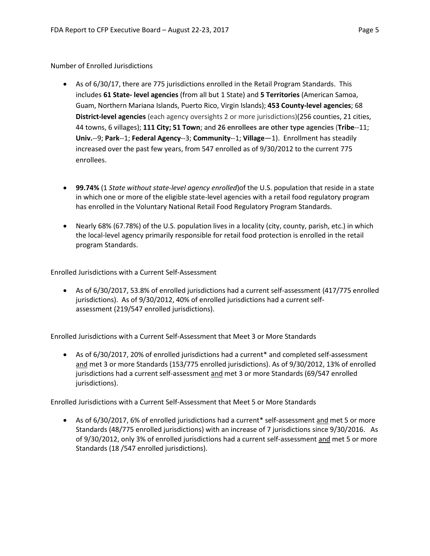### Number of Enrolled Jurisdictions

- As of 6/30/17, there are 775 jurisdictions enrolled in the Retail Program Standards. This includes **61 State- level agencies** (from all but 1 State) and **5 Territories** (American Samoa, Guam, Northern Mariana Islands, Puerto Rico, Virgin Islands); **453 County-level agencies**; 68 **District-level agencies** (each agency oversights 2 or more jurisdictions)(256 counties, 21 cities, 44 towns, 6 villages); **111 City; 51 Town**; and **26 enrollees are other type agencies** (**Tribe**--11; **Univ.**--9; **Park**--1; **Federal Agency**--3; **Community**--1; **Village**—1). Enrollment has steadily increased over the past few years, from 547 enrolled as of 9/30/2012 to the current 775 enrollees.
- **99.74%** (1 *State without state-level agency enrolled*)of the U.S. population that reside in a state in which one or more of the eligible state-level agencies with a retail food regulatory program has enrolled in the Voluntary National Retail Food Regulatory Program Standards.
- Nearly 68% (67.78%) of the U.S. population lives in a locality (city, county, parish, etc.) in which the local-level agency primarily responsible for retail food protection is enrolled in the retail program Standards.

Enrolled Jurisdictions with a Current Self-Assessment

• As of 6/30/2017, 53.8% of enrolled jurisdictions had a current self-assessment (417/775 enrolled jurisdictions). As of 9/30/2012, 40% of enrolled jurisdictions had a current selfassessment (219/547 enrolled jurisdictions).

Enrolled Jurisdictions with a Current Self-Assessment that Meet 3 or More Standards

• As of 6/30/2017, 20% of enrolled jurisdictions had a current\* and completed self-assessment and met 3 or more Standards (153/775 enrolled jurisdictions). As of 9/30/2012, 13% of enrolled jurisdictions had a current self-assessment and met 3 or more Standards (69/547 enrolled jurisdictions).

Enrolled Jurisdictions with a Current Self-Assessment that Meet 5 or More Standards

• As of 6/30/2017, 6% of enrolled jurisdictions had a current\* self-assessment and met 5 or more Standards (48/775 enrolled jurisdictions) with an increase of 7 jurisdictions since 9/30/2016. As of 9/30/2012, only 3% of enrolled jurisdictions had a current self-assessment and met 5 or more Standards (18 /547 enrolled jurisdictions).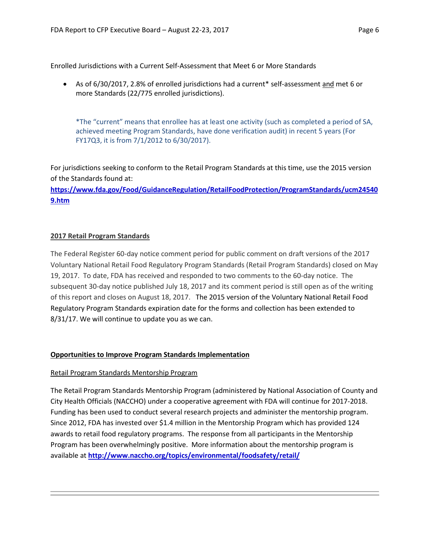Enrolled Jurisdictions with a Current Self-Assessment that Meet 6 or More Standards

• As of 6/30/2017, 2.8% of enrolled jurisdictions had a current\* self-assessment and met 6 or more Standards (22/775 enrolled jurisdictions).

\*The "current" means that enrollee has at least one activity (such as completed a period of SA, achieved meeting Program Standards, have done verification audit) in recent 5 years (For FY17Q3, it is from 7/1/2012 to 6/30/2017).

For jurisdictions seeking to conform to the Retail Program Standards at this time, use the 2015 version of the Standards found at:

**[https://www.fda.gov/Food/GuidanceRegulation/RetailFoodProtection/ProgramStandards/ucm24540](https://www.fda.gov/Food/GuidanceRegulation/RetailFoodProtection/ProgramStandards/ucm245409.htm) [9.htm](https://www.fda.gov/Food/GuidanceRegulation/RetailFoodProtection/ProgramStandards/ucm245409.htm)**

## **2017 Retail Program Standards**

The Federal Register 60-day notice comment period for public comment on draft versions of the 2017 Voluntary National Retail Food Regulatory Program Standards (Retail Program Standards) closed on May 19, 2017. To date, FDA has received and responded to two comments to the 60-day notice. The subsequent 30-day notice published July 18, 2017 and its comment period is still open as of the writing of this report and closes on August 18, 2017. The 2015 version of the Voluntary National Retail Food Regulatory Program Standards expiration date for the forms and collection has been extended to 8/31/17. We will continue to update you as we can.

## **Opportunities to Improve Program Standards Implementation**

## Retail Program Standards Mentorship Program

The Retail Program Standards Mentorship Program (administered by National Association of County and City Health Officials (NACCHO) under a cooperative agreement with FDA will continue for 2017-2018. Funding has been used to conduct several research projects and administer the mentorship program. Since 2012, FDA has invested over \$1.4 million in the Mentorship Program which has provided 124 awards to retail food regulatory programs. The response from all participants in the Mentorship Program has been overwhelmingly positive. More information about the mentorship program is available at **<http://www.naccho.org/topics/environmental/foodsafety/retail/>**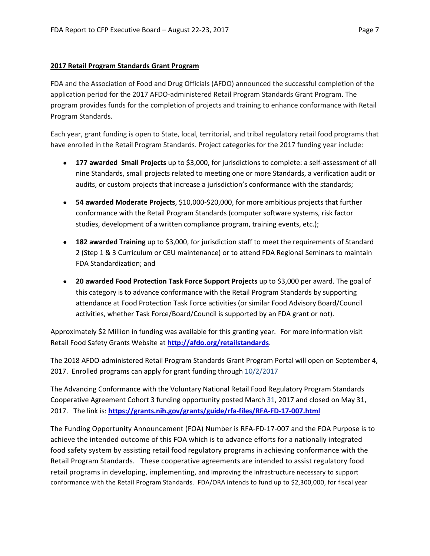### **2017 Retail Program Standards Grant Program**

FDA and the Association of Food and Drug Officials (AFDO) announced the successful completion of the application period for the 2017 AFDO-administered Retail Program Standards Grant Program. The program provides funds for the completion of projects and training to enhance conformance with Retail Program Standards.

Each year, grant funding is open to State, local, territorial, and tribal regulatory retail food programs that have enrolled in the Retail Program Standards. Project categories for the 2017 funding year include:

- **177 awarded Small Projects** up to \$3,000, for jurisdictions to complete: a self-assessment of all nine Standards, small projects related to meeting one or more Standards, a verification audit or audits, or custom projects that increase a jurisdiction's conformance with the standards;
- **54 awarded Moderate Projects**, \$10,000-\$20,000, for more ambitious projects that further conformance with the Retail Program Standards (computer software systems, risk factor studies, development of a written compliance program, training events, etc.);
- **182 awarded Training** up to \$3,000, for jurisdiction staff to meet the requirements of Standard 2 (Step 1 & 3 Curriculum or CEU maintenance) or to attend FDA Regional Seminars to maintain FDA Standardization; and
- **20 awarded Food Protection Task Force Support Projects** up to \$3,000 per award. The goal of this category is to advance conformance with the Retail Program Standards by supporting attendance at Food Protection Task Force activities (or similar Food Advisory Board/Council activities, whether Task Force/Board/Council is supported by an FDA grant or not).

Approximately \$2 Million in funding was available for this granting year. For more information visit Retail Food Safety Grants Website at **<http://afdo.org/retailstandards>**.

The 2018 AFDO-administered Retail Program Standards Grant Program Portal will open on September 4, 2017. Enrolled programs can apply for grant funding through 10/2/2017

The Advancing Conformance with the Voluntary National Retail Food Regulatory Program Standards Cooperative Agreement Cohort 3 funding opportunity posted March 31, 2017 and closed on May 31, 2017. The link is: **<https://grants.nih.gov/grants/guide/rfa-files/RFA-FD-17-007.html>**

The Funding Opportunity Announcement (FOA) Number is RFA-FD-17-007 and the FOA Purpose is to achieve the intended outcome of this FOA which is to advance efforts for a nationally integrated food safety system by assisting retail food regulatory programs in achieving conformance with the Retail Program Standards. These cooperative agreements are intended to assist regulatory food retail programs in developing, implementing, and improving the infrastructure necessary to support conformance with the Retail Program Standards. FDA/ORA intends to fund up to \$2,300,000, for fiscal year